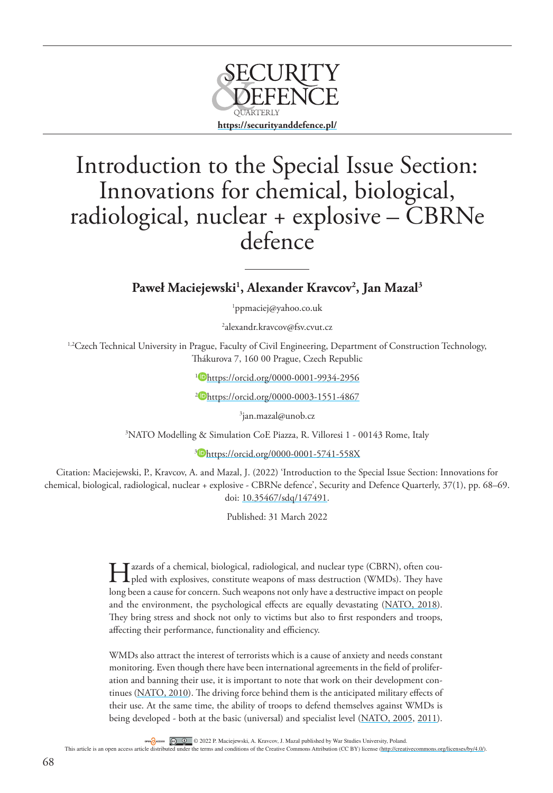

## Introduction to the Special Issue Section: Innovations for chemical, biological, radiological, nuclear + explosive – CBRNe defence

**Paweł Maciejewski1 , Alexander Kravcov2 , Jan Mazal3**

1 [ppmaciej@yahoo.co.uk](mailto:ppmaciej@yahoo.co.uk)

2 [alexandr.kravcov@fsv.cvut.cz](mailto:alexandr.kravcov@fsv.cvut.cz)

<sup>1,2</sup>Czech Technical University in Prague, Faculty of Civil Engineering, Department of Construction Technology, Thákurova 7, 160 00 Prague, Czech Republic

<sup>1</sup> <https://orcid.org/0000-0001-9934-2956>

<sup>2</sup> <https://orcid.org/0000-0003-1551-4867>

3 [jan.mazal@unob.cz](mailto:jan.mazal@unob.cz)

3 NATO Modelling & Simulation CoE Piazza, R. Villoresi 1 - 00143 Rome, Italy

<sup>3</sup> <https://orcid.org/0000-0001-5741-558X>

Citation: Maciejewski, P., Kravcov, A. and Mazal, J. (2022) 'Introduction to the Special Issue Section: Innovations for chemical, biological, radiological, nuclear + explosive - CBRNe defence', Security and Defence Quarterly, 37(1), pp. 68–69. doi: [10.35467/sdq/147491.](http://doi.org/10.35467/sdq/147491)

Published: 31 March 2022

I azards of a chemical, biological, radiological, and nuclear type (CBRN), often coupled with explosives, constitute weapons of mass destruction (WMDs). They have long been a cause for concern. Such weapons not only have a destructive impact on people and the environment, the psychological effects are equally devastating ([NATO, 2018](#page-1-0)). They bring stress and shock not only to victims but also to first responders and troops, affecting their performance, functionality and efficiency.

WMDs also attract the interest of terrorists which is a cause of anxiety and needs constant monitoring. Even though there have been international agreements in the field of proliferation and banning their use, it is important to note that work on their development continues ([NATO, 2010\)](#page-1-1). The driving force behind them is the anticipated military effects of their use. At the same time, the ability of troops to defend themselves against WMDs is being developed - both at the basic (universal) and specialist level [\(NATO, 2005](#page-1-2), [2011](#page-1-3)).

 $\overline{\text{co}}$   $\overline{\text{O}}$   $\overline{\text{O}}$   $\overline{\text{O}}$  2022 P. Maciejewski, A. Kravcov, J. Mazal published by War Studies University, Poland.

This article is an open access article distributed under the terms and conditions of the Creative Commons Attribution (CC BY) license [\(http://creativecommons.org/licenses/by/4.0/](http://creativecommons.org/licenses/by/4.0/))